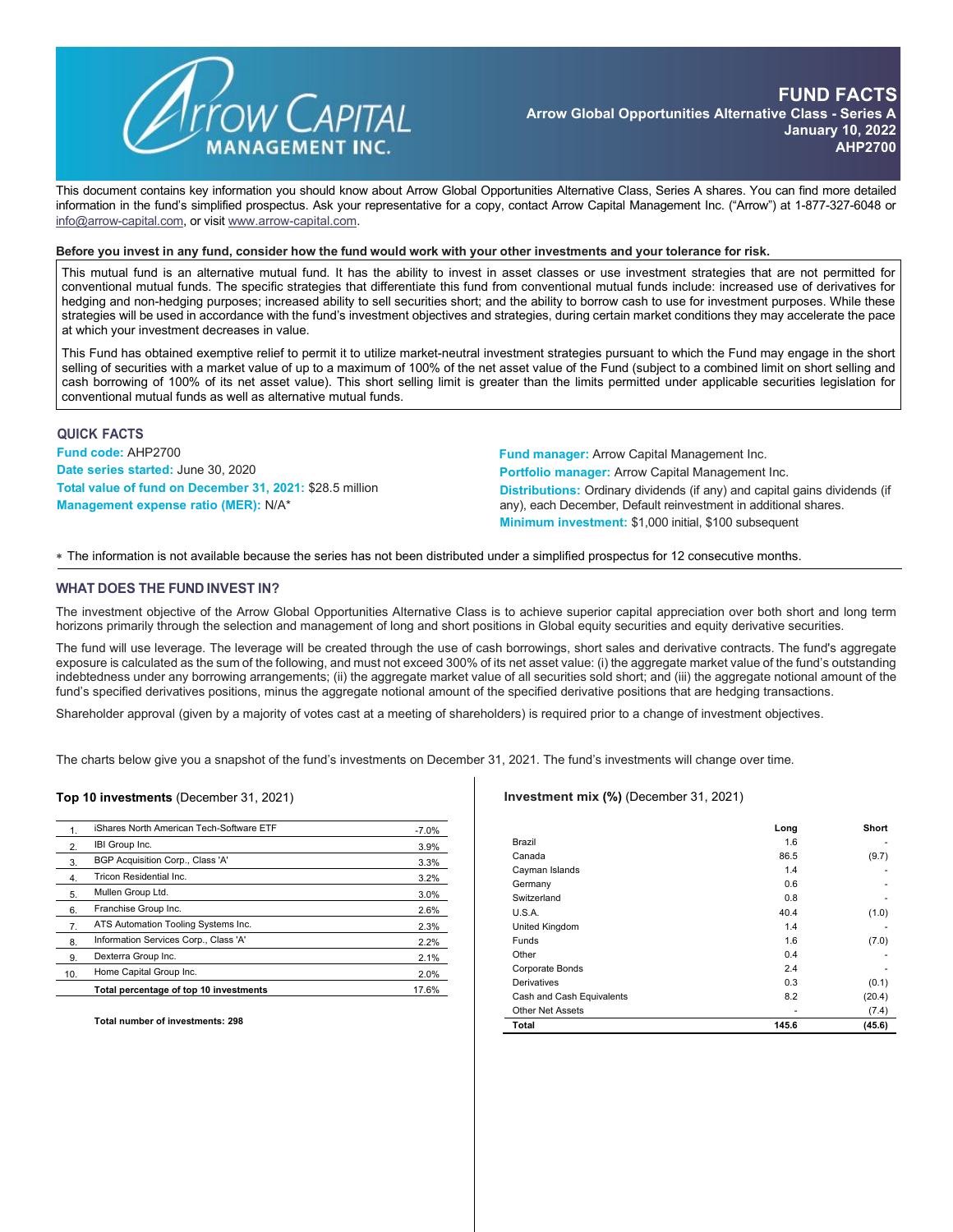

This document contains key information you should know about Arrow Global Opportunities Alternative Class, Series A shares. You can find more detailed information in the fund's simplified prospectus. Ask your representative for a copy, contact Arrow Capital Management Inc. ("Arrow") at 1-877-327-6048 or [info@arrow-capital.com,](mailto:info@arrow-capital.com) or visit [www.arrow-capital.com.](http://www.arrow-capital.com/)

#### Before you invest in any fund, consider how the fund would work with your other investments and your tolerance for risk.

This mutual fund is an alternative mutual fund. It has the ability to invest in asset classes or use investment strategies that are not permitted for conventional mutual funds. The specific strategies that differentiate this fund from conventional mutual funds include: increased use of derivatives for hedging and non-hedging purposes; increased ability to sell securities short; and the ability to borrow cash to use for investment purposes. While these strategies will be used in accordance with the fund's investment objectives and strategies, during certain market conditions they may accelerate the pace at which your investment decreases in value.

This Fund has obtained exemptive relief to permit it to utilize market-neutral investment strategies pursuant to which the Fund may engage in the short selling of securities with a market value of up to a maximum of 100% of the net asset value of the Fund (subject to a combined limit on short selling and cash borrowing of 100% of its net asset value). This short selling limit is greater than the limits permitted under applicable securities legislation for conventional mutual funds as well as alternative mutual funds.

### **QUICK FACTS**

**Fund code:** AHP2700 **Date series started:** June 30, 2020 **Total value of fund on December 31, 2021:** \$28.5 million **Management expense ratio (MER):** N/A\*

**Fund manager:** Arrow Capital Management Inc. **Portfolio manager:** Arrow Capital Management Inc. **Distributions:** Ordinary dividends (if any) and capital gains dividends (if any), each December, Default reinvestment in additional shares. **Minimum investment:** \$1,000 initial, \$100 subsequent

∗ The information is not available because the series has not been distributed under a simplified prospectus for 12 consecutive months.

#### **WHAT DOES THE FUND INVEST IN?**

The investment objective of the Arrow Global Opportunities Alternative Class is to achieve superior capital appreciation over both short and long term horizons primarily through the selection and management of long and short positions in Global equity securities and equity derivative securities.

The fund will use leverage. The leverage will be created through the use of cash borrowings, short sales and derivative contracts. The fund's aggregate exposure is calculated as the sum of the following, and must not exceed 300% of its net asset value: (i) the aggregate market value of the fund's outstanding indebtedness under any borrowing arrangements; (ii) the aggregate market value of all securities sold short; and (iii) the aggregate notional amount of the fund's specified derivatives positions, minus the aggregate notional amount of the specified derivative positions that are hedging transactions.

Shareholder approval (given by a majority of votes cast at a meeting of shareholders) is required prior to a change of investment objectives.

The charts below give you a snapshot of the fund's investments on December 31, 2021. The fund's investments will change over time.

#### **Top 10 investments** (December 31, 2021)

| 1.  | iShares North American Tech-Software ETF | $-7.0%$ |
|-----|------------------------------------------|---------|
| 2.  | IBI Group Inc.                           | 3.9%    |
| 3.  | BGP Acquisition Corp., Class 'A'         | 3.3%    |
| 4.  | Tricon Residential Inc.                  | 3.2%    |
| 5.  | Mullen Group Ltd.                        | 3.0%    |
| 6.  | Franchise Group Inc.                     | 2.6%    |
| 7.  | ATS Automation Tooling Systems Inc.      | 2.3%    |
| 8.  | Information Services Corp., Class 'A'    | 2.2%    |
| 9.  | Dexterra Group Inc.                      | 2.1%    |
| 10. | Home Capital Group Inc.                  | 2.0%    |
|     | Total percentage of top 10 investments   | 17.6%   |

**Total number of investments: 298**

**Investment mix (%)** (December 31, 2021)

|                           | Long  | Short  |
|---------------------------|-------|--------|
| Brazil                    | 1.6   |        |
| Canada                    | 86.5  | (9.7)  |
| Cayman Islands            | 1.4   |        |
| Germany                   | 0.6   |        |
| Switzerland               | 0.8   |        |
| U.S.A.                    | 40.4  | (1.0)  |
| <b>United Kingdom</b>     | 1.4   |        |
| Funds                     | 1.6   | (7.0)  |
| Other                     | 0.4   |        |
| Corporate Bonds           | 2.4   |        |
| Derivatives               | 0.3   | (0.1)  |
| Cash and Cash Equivalents | 8.2   | (20.4) |
| <b>Other Net Assets</b>   |       | (7.4)  |
| <b>Total</b>              | 145.6 | (45.6) |
|                           |       |        |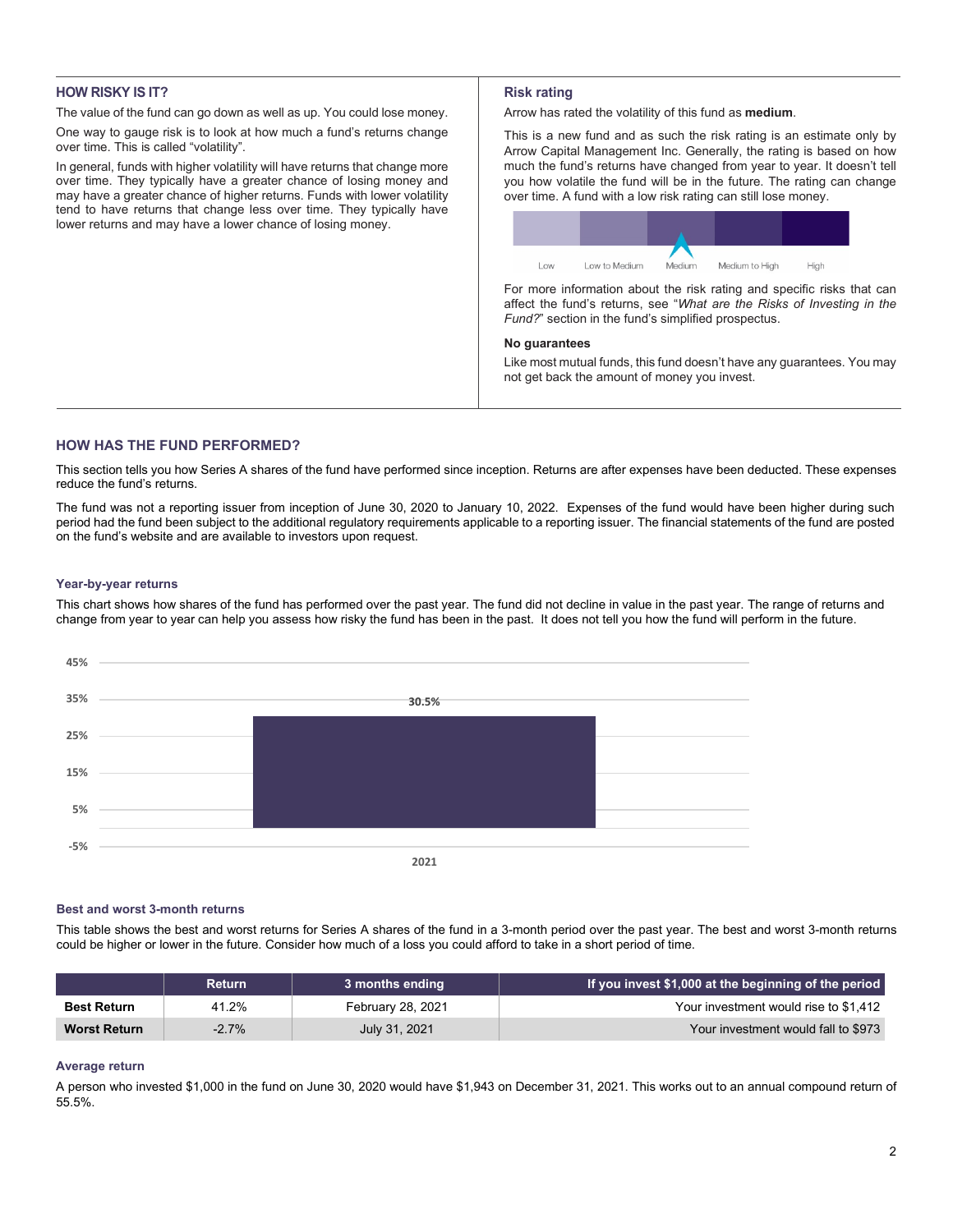## **HOW RISKY IS IT?**

The value of the fund can go down as well as up. You could lose money.

One way to gauge risk is to look at how much a fund's returns change over time. This is called "volatility".

In general, funds with higher volatility will have returns that change more over time. They typically have a greater chance of losing money and may have a greater chance of higher returns. Funds with lower volatility tend to have returns that change less over time. They typically have lower returns and may have a lower chance of losing money.

## **Risk rating**

Arrow has rated the volatility of this fund as **medium**.

This is a new fund and as such the risk rating is an estimate only by Arrow Capital Management Inc. Generally, the rating is based on how much the fund's returns have changed from year to year. It doesn't tell you how volatile the fund will be in the future. The rating can change over time. A fund with a low risk rating can still lose money.



For more information about the risk rating and specific risks that can affect the fund's returns, see "*What are the Risks of Investing in the Fund?*" section in the fund's simplified prospectus.

#### **No guarantees**

Like most mutual funds, this fund doesn't have any guarantees. You may not get back the amount of money you invest.

# **HOW HAS THE FUND PERFORMED?**

This section tells you how Series A shares of the fund have performed since inception. Returns are after expenses have been deducted. These expenses reduce the fund's returns.

The fund was not a reporting issuer from inception of June 30, 2020 to January 10, 2022. Expenses of the fund would have been higher during such period had the fund been subject to the additional regulatory requirements applicable to a reporting issuer. The financial statements of the fund are posted on the fund's website and are available to investors upon request.

### **Year-by-year returns**

This chart shows how shares of the fund has performed over the past year. The fund did not decline in value in the past year. The range of returns and change from year to year can help you assess how risky the fund has been in the past. It does not tell you how the fund will perform in the future.



#### **Best and worst 3-month returns**

This table shows the best and worst returns for Series A shares of the fund in a 3-month period over the past year. The best and worst 3-month returns could be higher or lower in the future. Consider how much of a loss you could afford to take in a short period of time.

|                     | <b>Return</b> | 3 months ending   | If you invest \$1,000 at the beginning of the period |
|---------------------|---------------|-------------------|------------------------------------------------------|
| <b>Best Return</b>  | 41.2%         | February 28, 2021 | Your investment would rise to \$1.412                |
| <b>Worst Return</b> | $-2.7%$       | July 31, 2021     | Your investment would fall to \$973                  |

### **Average return**

A person who invested \$1,000 in the fund on June 30, 2020 would have \$1,943 on December 31, 2021. This works out to an annual compound return of 55.5%.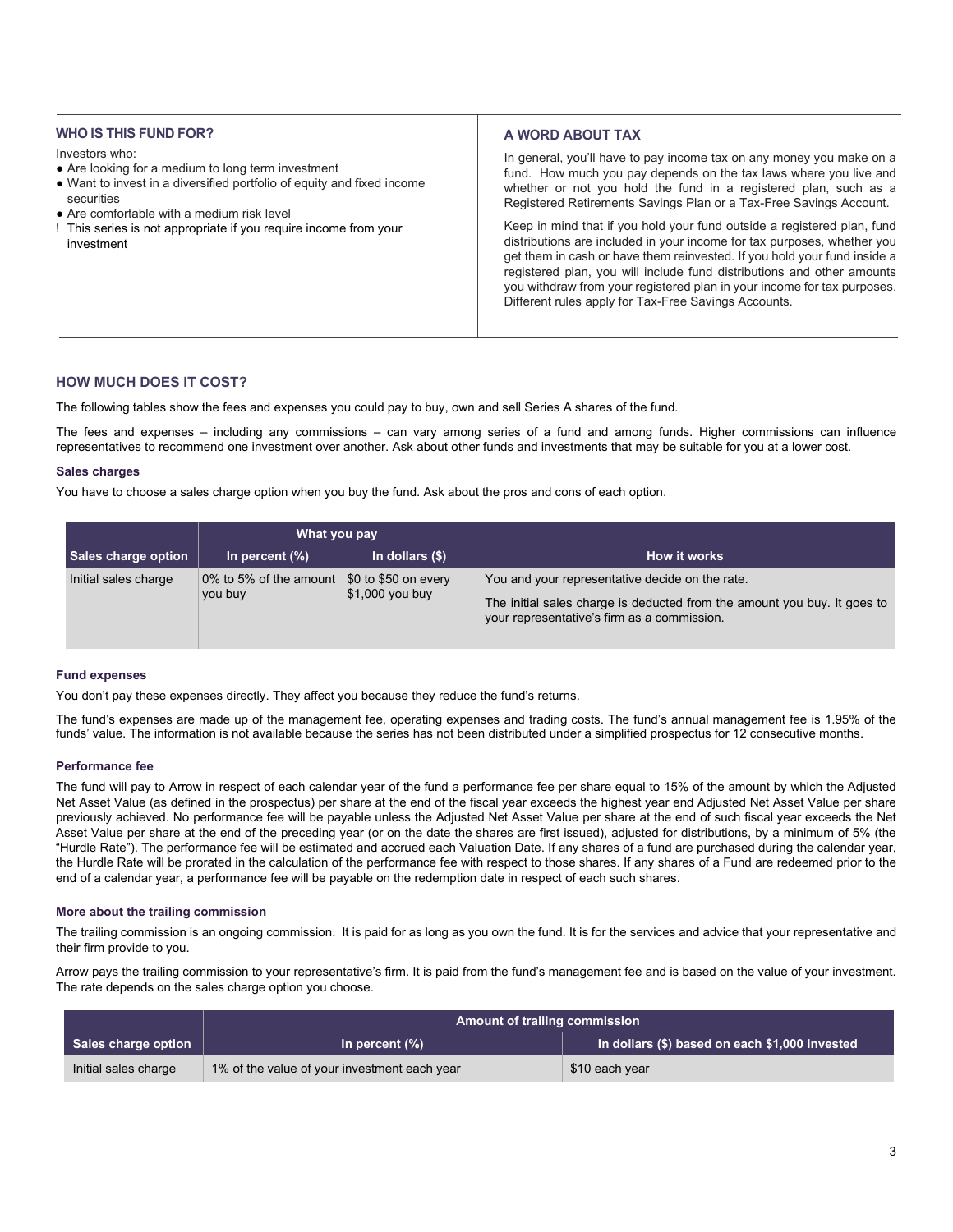## **WHO IS THIS FUND FOR?**

Investors who:

- Are looking for a medium to long term investment
- Want to invest in a diversified portfolio of equity and fixed income securities
- Are comfortable with a medium risk level
- ! This series is not appropriate if you require income from your investment

## **A WORD ABOUT TAX**

In general, you'll have to pay income tax on any money you make on a fund. How much you pay depends on the tax laws where you live and whether or not you hold the fund in a registered plan, such as a Registered Retirements Savings Plan or a Tax-Free Savings Account.

Keep in mind that if you hold your fund outside a registered plan, fund distributions are included in your income for tax purposes, whether you get them in cash or have them reinvested. If you hold your fund inside a registered plan, you will include fund distributions and other amounts you withdraw from your registered plan in your income for tax purposes. Different rules apply for Tax-Free Savings Accounts.

## **HOW MUCH DOES IT COST?**

The following tables show the fees and expenses you could pay to buy, own and sell Series A shares of the fund.

The fees and expenses – including any commissions – can vary among series of a fund and among funds. Higher commissions can influence representatives to recommend one investment over another. Ask about other funds and investments that may be suitable for you at a lower cost.

#### **Sales charges**

You have to choose a sales charge option when you buy the fund. Ask about the pros and cons of each option.

|                      | What you pay                      |                                                     |                                                                                                                                                                            |
|----------------------|-----------------------------------|-----------------------------------------------------|----------------------------------------------------------------------------------------------------------------------------------------------------------------------------|
| Sales charge option  | In percent $(\%)$                 | In dollars $(\$)$                                   | How it works                                                                                                                                                               |
| Initial sales charge | 0% to 5% of the amount<br>you buy | $\$0$ to $\$50$ on every<br>$\vert$ \$1,000 you buy | You and your representative decide on the rate.<br>The initial sales charge is deducted from the amount you buy. It goes to<br>vour representative's firm as a commission. |

### **Fund expenses**

You don't pay these expenses directly. They affect you because they reduce the fund's returns.

The fund's expenses are made up of the management fee, operating expenses and trading costs. The fund's annual management fee is 1.95% of the funds' value. The information is not available because the series has not been distributed under a simplified prospectus for 12 consecutive months.

### **Performance fee**

The fund will pay to Arrow in respect of each calendar year of the fund a performance fee per share equal to 15% of the amount by which the Adjusted Net Asset Value (as defined in the prospectus) per share at the end of the fiscal year exceeds the highest year end Adjusted Net Asset Value per share previously achieved. No performance fee will be payable unless the Adjusted Net Asset Value per share at the end of such fiscal year exceeds the Net Asset Value per share at the end of the preceding year (or on the date the shares are first issued), adjusted for distributions, by a minimum of 5% (the "Hurdle Rate"). The performance fee will be estimated and accrued each Valuation Date. If any shares of a fund are purchased during the calendar year, the Hurdle Rate will be prorated in the calculation of the performance fee with respect to those shares. If any shares of a Fund are redeemed prior to the end of a calendar year, a performance fee will be payable on the redemption date in respect of each such shares.

### **More about the trailing commission**

The trailing commission is an ongoing commission. It is paid for as long as you own the fund. It is for the services and advice that your representative and their firm provide to you.

Arrow pays the trailing commission to your representative's firm. It is paid from the fund's management fee and is based on the value of your investment. The rate depends on the sales charge option you choose.

|                            | <b>Amount of trailing commission</b>         |                                                |
|----------------------------|----------------------------------------------|------------------------------------------------|
| <b>Sales charge option</b> | In percent $(\%)$                            | In dollars (\$) based on each \$1,000 invested |
| Initial sales charge       | 1% of the value of your investment each year | \$10 each year                                 |